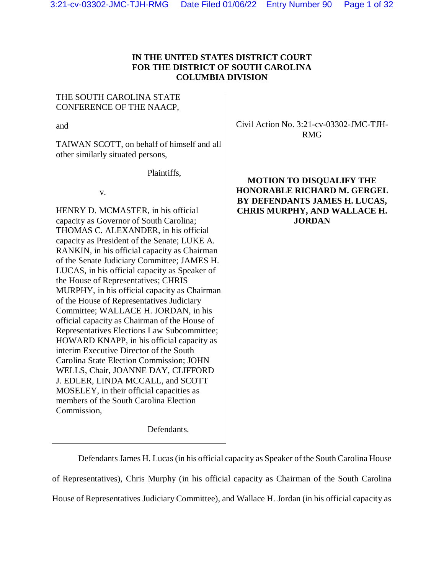# **IN THE UNITED STATES DISTRICT COURT FOR THE DISTRICT OF SOUTH CAROLINA COLUMBIA DIVISION**

# THE SOUTH CAROLINA STATE CONFERENCE OF THE NAACP,

and

TAIWAN SCOTT, on behalf of himself and all other similarly situated persons,

Plaintiffs,

v.

HENRY D. MCMASTER, in his official capacity as Governor of South Carolina; THOMAS C. ALEXANDER, in his official capacity as President of the Senate; LUKE A. RANKIN, in his official capacity as Chairman of the Senate Judiciary Committee; JAMES H. LUCAS, in his official capacity as Speaker of the House of Representatives; CHRIS MURPHY, in his official capacity as Chairman of the House of Representatives Judiciary Committee; WALLACE H. JORDAN, in his official capacity as Chairman of the House of Representatives Elections Law Subcommittee; HOWARD KNAPP, in his official capacity as interim Executive Director of the South Carolina State Election Commission; JOHN WELLS, Chair, JOANNE DAY, CLIFFORD J. EDLER, LINDA MCCALL, and SCOTT MOSELEY, in their official capacities as members of the South Carolina Election Commission,

Defendants.

Civil Action No. 3:21-cv-03302-JMC-TJH-RMG

# **MOTION TO DISQUALIFY THE HONORABLE RICHARD M. GERGEL BY DEFENDANTS JAMES H. LUCAS, CHRIS MURPHY, AND WALLACE H. JORDAN**

Defendants James H. Lucas (in his official capacity as Speaker of the South Carolina House of Representatives), Chris Murphy (in his official capacity as Chairman of the South Carolina House of Representatives Judiciary Committee), and Wallace H. Jordan (in his official capacity as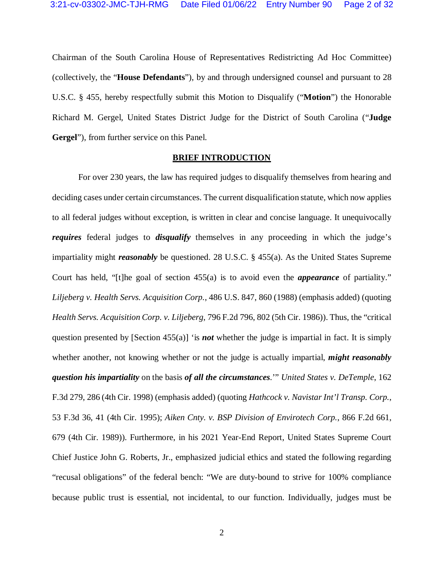Chairman of the South Carolina House of Representatives Redistricting Ad Hoc Committee) (collectively, the "**House Defendants**"), by and through undersigned counsel and pursuant to 28 U.S.C. § 455, hereby respectfully submit this Motion to Disqualify ("**Motion**") the Honorable Richard M. Gergel, United States District Judge for the District of South Carolina ("**Judge Gergel**"), from further service on this Panel.

## **BRIEF INTRODUCTION**

For over 230 years, the law has required judges to disqualify themselves from hearing and deciding cases under certain circumstances. The current disqualification statute, which now applies to all federal judges without exception, is written in clear and concise language. It unequivocally *requires* federal judges to *disqualify* themselves in any proceeding in which the judge's impartiality might *reasonably* be questioned. 28 U.S.C. § 455(a). As the United States Supreme Court has held, "[t]he goal of section 455(a) is to avoid even the *appearance* of partiality." *Liljeberg v. Health Servs. Acquisition Corp.*, 486 U.S. 847, 860 (1988) (emphasis added) (quoting *Health Servs. Acquisition Corp. v. Liljeberg*, 796 F.2d 796, 802 (5th Cir. 1986)). Thus, the "critical question presented by [Section 455(a)] 'is *not* whether the judge is impartial in fact. It is simply whether another, not knowing whether or not the judge is actually impartial, *might reasonably question his impartiality* on the basis *of all the circumstances*.'" *United States v. DeTemple*, 162 F.3d 279, 286 (4th Cir. 1998) (emphasis added) (quoting *Hathcock v. Navistar Int'l Transp. Corp.*, 53 F.3d 36, 41 (4th Cir. 1995); *Aiken Cnty. v. BSP Division of Envirotech Corp.*, 866 F.2d 661, 679 (4th Cir. 1989)). Furthermore, in his 2021 Year-End Report, United States Supreme Court Chief Justice John G. Roberts, Jr., emphasized judicial ethics and stated the following regarding "recusal obligations" of the federal bench: "We are duty-bound to strive for 100% compliance because public trust is essential, not incidental, to our function. Individually, judges must be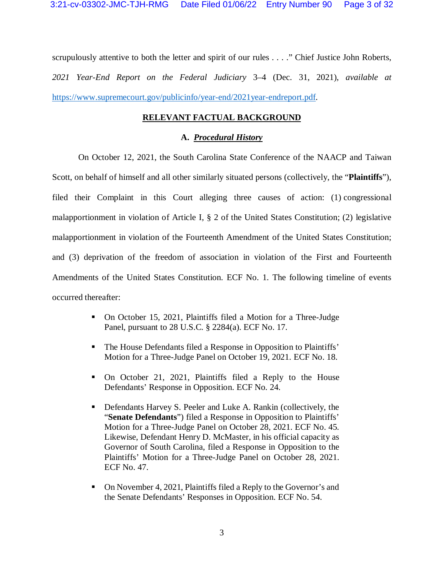scrupulously attentive to both the letter and spirit of our rules . . . ." Chief Justice John Roberts, *2021 Year-End Report on the Federal Judiciary* 3–4 (Dec. 31, 2021), *available at* https://www.supremecourt.gov/publicinfo/year-end/2021year-endreport.pdf.

# **RELEVANT FACTUAL BACKGROUND**

### **A.** *Procedural History*

On October 12, 2021, the South Carolina State Conference of the NAACP and Taiwan Scott, on behalf of himself and all other similarly situated persons (collectively, the "**Plaintiffs**"), filed their Complaint in this Court alleging three causes of action: (1) congressional malapportionment in violation of Article I, § 2 of the United States Constitution; (2) legislative malapportionment in violation of the Fourteenth Amendment of the United States Constitution; and (3) deprivation of the freedom of association in violation of the First and Fourteenth Amendments of the United States Constitution. ECF No. 1. The following timeline of events occurred thereafter:

- On October 15, 2021, Plaintiffs filed a Motion for a Three-Judge Panel, pursuant to 28 U.S.C. § 2284(a). ECF No. 17.
- The House Defendants filed a Response in Opposition to Plaintiffs' Motion for a Three-Judge Panel on October 19, 2021. ECF No. 18.
- On October 21, 2021, Plaintiffs filed a Reply to the House Defendants' Response in Opposition. ECF No. 24.
- Defendants Harvey S. Peeler and Luke A. Rankin (collectively, the "**Senate Defendants**") filed a Response in Opposition to Plaintiffs' Motion for a Three-Judge Panel on October 28, 2021. ECF No. 45. Likewise, Defendant Henry D. McMaster, in his official capacity as Governor of South Carolina, filed a Response in Opposition to the Plaintiffs' Motion for a Three-Judge Panel on October 28, 2021. ECF No. 47.
- On November 4, 2021, Plaintiffs filed a Reply to the Governor's and the Senate Defendants' Responses in Opposition. ECF No. 54.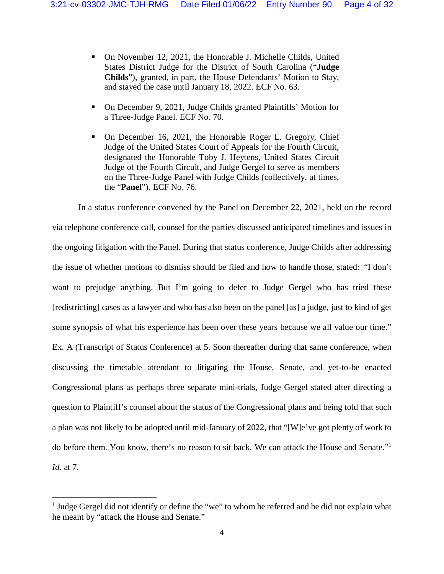- On November 12, 2021, the Honorable J. Michelle Childs, United States District Judge for the District of South Carolina ("**Judge Childs**"), granted, in part, the House Defendants' Motion to Stay, and stayed the case until January 18, 2022. ECF No. 63.
- On December 9, 2021, Judge Childs granted Plaintiffs' Motion for a Three-Judge Panel. ECF No. 70.
- On December 16, 2021, the Honorable Roger L. Gregory, Chief Judge of the United States Court of Appeals for the Fourth Circuit, designated the Honorable Toby J. Heytens, United States Circuit Judge of the Fourth Circuit, and Judge Gergel to serve as members on the Three-Judge Panel with Judge Childs (collectively, at times, the "**Panel**"). ECF No. 76.

In a status conference convened by the Panel on December 22, 2021, held on the record via telephone conference call, counsel for the parties discussed anticipated timelines and issues in the ongoing litigation with the Panel. During that status conference, Judge Childs after addressing the issue of whether motions to dismiss should be filed and how to handle those, stated: "I don't want to prejudge anything. But I'm going to defer to Judge Gergel who has tried these [redistricting] cases as a lawyer and who has also been on the panel [as] a judge, just to kind of get some synopsis of what his experience has been over these years because we all value our time." Ex. A (Transcript of Status Conference) at 5. Soon thereafter during that same conference, when discussing the timetable attendant to litigating the House, Senate, and yet-to-be enacted Congressional plans as perhaps three separate mini-trials, Judge Gergel stated after directing a question to Plaintiff's counsel about the status of the Congressional plans and being told that such a plan was not likely to be adopted until mid-January of 2022, that "[W]e've got plenty of work to do before them. You know, there's no reason to sit back. We can attack the House and Senate."<sup>1</sup> *Id.* at 7.

 $\overline{a}$ 

<sup>&</sup>lt;sup>1</sup> Judge Gergel did not identify or define the "we" to whom he referred and he did not explain what he meant by "attack the House and Senate."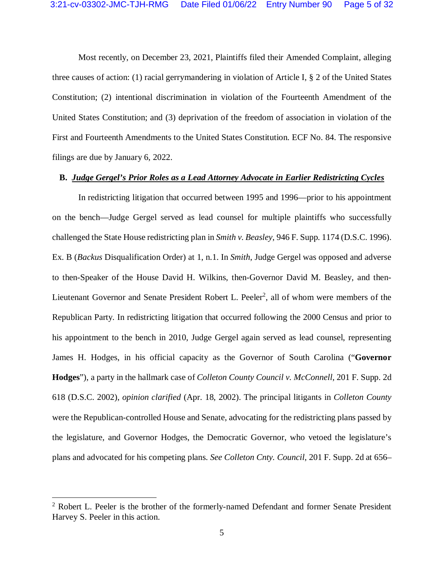Most recently, on December 23, 2021, Plaintiffs filed their Amended Complaint, alleging three causes of action: (1) racial gerrymandering in violation of Article I, § 2 of the United States Constitution; (2) intentional discrimination in violation of the Fourteenth Amendment of the United States Constitution; and (3) deprivation of the freedom of association in violation of the First and Fourteenth Amendments to the United States Constitution. ECF No. 84. The responsive filings are due by January 6, 2022.

### **B.** *Judge Gergel's Prior Roles as a Lead Attorney Advocate in Earlier Redistricting Cycles*

In redistricting litigation that occurred between 1995 and 1996—prior to his appointment on the bench—Judge Gergel served as lead counsel for multiple plaintiffs who successfully challenged the State House redistricting plan in *Smith v. Beasley*, 946 F. Supp. 1174 (D.S.C. 1996). Ex. B (*Backus* Disqualification Order) at 1, n.1. In *Smith*, Judge Gergel was opposed and adverse to then-Speaker of the House David H. Wilkins, then-Governor David M. Beasley, and then-Lieutenant Governor and Senate President Robert L. Peeler<sup>2</sup>, all of whom were members of the Republican Party. In redistricting litigation that occurred following the 2000 Census and prior to his appointment to the bench in 2010, Judge Gergel again served as lead counsel, representing James H. Hodges, in his official capacity as the Governor of South Carolina ("**Governor Hodges**"), a party in the hallmark case of *Colleton County Council v. McConnell*, 201 F. Supp. 2d 618 (D.S.C. 2002), *opinion clarified* (Apr. 18, 2002). The principal litigants in *Colleton County* were the Republican-controlled House and Senate, advocating for the redistricting plans passed by the legislature, and Governor Hodges, the Democratic Governor, who vetoed the legislature's plans and advocated for his competing plans. *See Colleton Cnty. Council*, 201 F. Supp. 2d at 656–

 $\overline{a}$ 

<sup>&</sup>lt;sup>2</sup> Robert L. Peeler is the brother of the formerly-named Defendant and former Senate President Harvey S. Peeler in this action.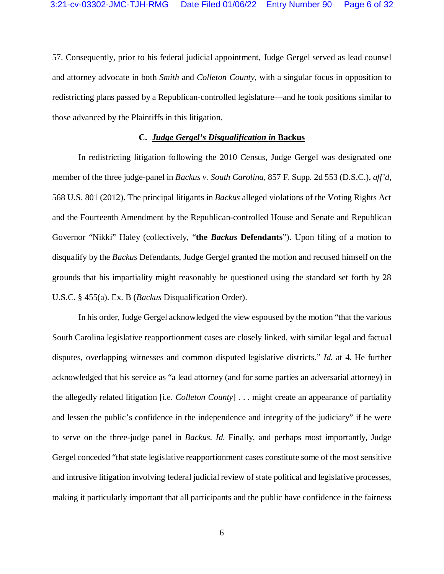57. Consequently, prior to his federal judicial appointment, Judge Gergel served as lead counsel and attorney advocate in both *Smith* and *Colleton County*, with a singular focus in opposition to redistricting plans passed by a Republican-controlled legislature—and he took positions similar to those advanced by the Plaintiffs in this litigation.

## **C.** *Judge Gergel's Disqualification in* **Backus**

In redistricting litigation following the 2010 Census, Judge Gergel was designated one member of the three judge-panel in *Backus v. South Carolina*, 857 F. Supp. 2d 553 (D.S.C.), *aff'd*, 568 U.S. 801 (2012). The principal litigants in *Backus* alleged violations of the Voting Rights Act and the Fourteenth Amendment by the Republican-controlled House and Senate and Republican Governor "Nikki" Haley (collectively, "**the** *Backus* **Defendants**"). Upon filing of a motion to disqualify by the *Backus* Defendants, Judge Gergel granted the motion and recused himself on the grounds that his impartiality might reasonably be questioned using the standard set forth by 28 U.S.C. § 455(a). Ex. B (*Backus* Disqualification Order).

In his order, Judge Gergel acknowledged the view espoused by the motion "that the various South Carolina legislative reapportionment cases are closely linked, with similar legal and factual disputes, overlapping witnesses and common disputed legislative districts." *Id.* at 4. He further acknowledged that his service as "a lead attorney (and for some parties an adversarial attorney) in the allegedly related litigation [i.e. *Colleton County*] . . . might create an appearance of partiality and lessen the public's confidence in the independence and integrity of the judiciary" if he were to serve on the three-judge panel in *Backus*. *Id.* Finally, and perhaps most importantly, Judge Gergel conceded "that state legislative reapportionment cases constitute some of the most sensitive and intrusive litigation involving federal judicial review of state political and legislative processes, making it particularly important that all participants and the public have confidence in the fairness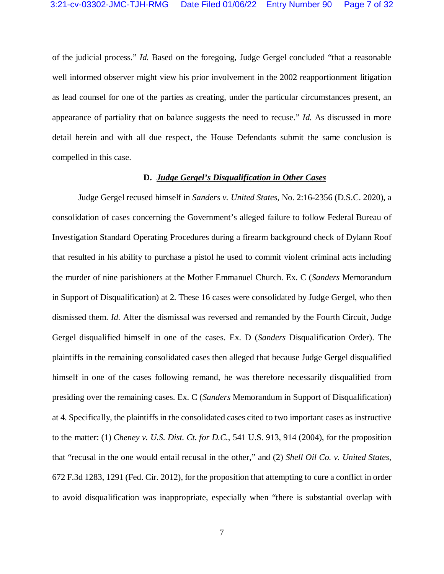of the judicial process." *Id.* Based on the foregoing, Judge Gergel concluded "that a reasonable well informed observer might view his prior involvement in the 2002 reapportionment litigation as lead counsel for one of the parties as creating, under the particular circumstances present, an appearance of partiality that on balance suggests the need to recuse." *Id.* As discussed in more detail herein and with all due respect, the House Defendants submit the same conclusion is compelled in this case.

### **D.** *Judge Gergel's Disqualification in Other Cases*

Judge Gergel recused himself in *Sanders v. United States*, No. 2:16-2356 (D.S.C. 2020), a consolidation of cases concerning the Government's alleged failure to follow Federal Bureau of Investigation Standard Operating Procedures during a firearm background check of Dylann Roof that resulted in his ability to purchase a pistol he used to commit violent criminal acts including the murder of nine parishioners at the Mother Emmanuel Church. Ex. C (*Sanders* Memorandum in Support of Disqualification) at 2. These 16 cases were consolidated by Judge Gergel, who then dismissed them. *Id.* After the dismissal was reversed and remanded by the Fourth Circuit, Judge Gergel disqualified himself in one of the cases. Ex. D (*Sanders* Disqualification Order). The plaintiffs in the remaining consolidated cases then alleged that because Judge Gergel disqualified himself in one of the cases following remand, he was therefore necessarily disqualified from presiding over the remaining cases. Ex. C (*Sanders* Memorandum in Support of Disqualification) at 4. Specifically, the plaintiffs in the consolidated cases cited to two important cases as instructive to the matter: (1) *Cheney v. U.S. Dist. Ct. for D.C.*, 541 U.S. 913, 914 (2004), for the proposition that "recusal in the one would entail recusal in the other," and (2) *Shell Oil Co. v. United States*, 672 F.3d 1283, 1291 (Fed. Cir. 2012), for the proposition that attempting to cure a conflict in order to avoid disqualification was inappropriate, especially when "there is substantial overlap with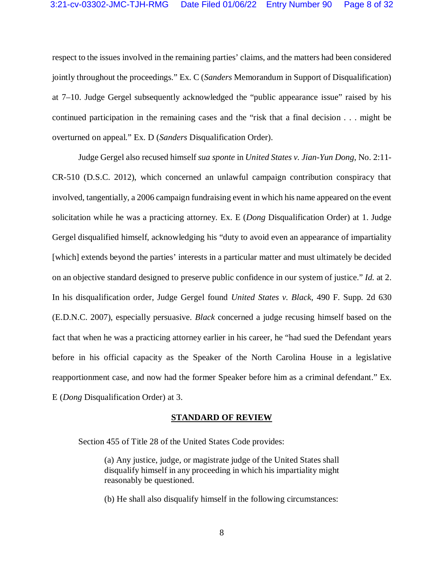respect to the issues involved in the remaining parties' claims, and the matters had been considered jointly throughout the proceedings." Ex. C (*Sanders* Memorandum in Support of Disqualification) at 7–10. Judge Gergel subsequently acknowledged the "public appearance issue" raised by his continued participation in the remaining cases and the "risk that a final decision . . . might be overturned on appeal." Ex. D (*Sanders* Disqualification Order).

Judge Gergel also recused himself *sua sponte* in *United States v. Jian-Yun Dong*, No. 2:11- CR-510 (D.S.C. 2012), which concerned an unlawful campaign contribution conspiracy that involved, tangentially, a 2006 campaign fundraising event in which his name appeared on the event solicitation while he was a practicing attorney. Ex. E (*Dong* Disqualification Order) at 1. Judge Gergel disqualified himself, acknowledging his "duty to avoid even an appearance of impartiality [which] extends beyond the parties' interests in a particular matter and must ultimately be decided on an objective standard designed to preserve public confidence in our system of justice." *Id.* at 2. In his disqualification order, Judge Gergel found *United States v. Black*, 490 F. Supp. 2d 630 (E.D.N.C. 2007), especially persuasive. *Black* concerned a judge recusing himself based on the fact that when he was a practicing attorney earlier in his career, he "had sued the Defendant years before in his official capacity as the Speaker of the North Carolina House in a legislative reapportionment case, and now had the former Speaker before him as a criminal defendant." Ex. E (*Dong* Disqualification Order) at 3.

#### **STANDARD OF REVIEW**

Section 455 of Title 28 of the United States Code provides:

(a) Any justice, judge, or magistrate judge of the United States shall disqualify himself in any proceeding in which his impartiality might reasonably be questioned.

(b) He shall also disqualify himself in the following circumstances: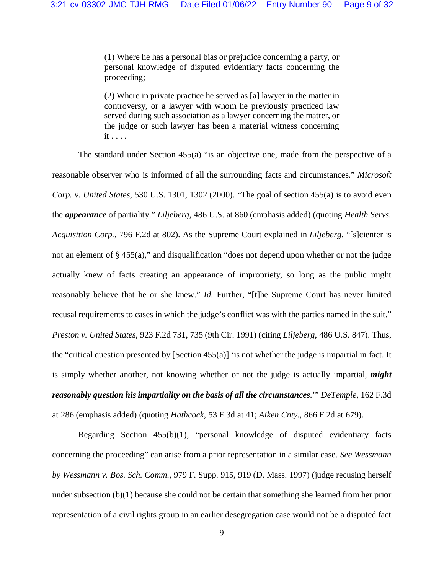(1) Where he has a personal bias or prejudice concerning a party, or personal knowledge of disputed evidentiary facts concerning the proceeding;

(2) Where in private practice he served as [a] lawyer in the matter in controversy, or a lawyer with whom he previously practiced law served during such association as a lawyer concerning the matter, or the judge or such lawyer has been a material witness concerning it . . . .

The standard under Section 455(a) "is an objective one, made from the perspective of a reasonable observer who is informed of all the surrounding facts and circumstances." *Microsoft Corp. v. United States*, 530 U.S. 1301, 1302 (2000). "The goal of section 455(a) is to avoid even the *appearance* of partiality." *Liljeberg*, 486 U.S. at 860 (emphasis added) (quoting *Health Servs. Acquisition Corp.*, 796 F.2d at 802). As the Supreme Court explained in *Liljeberg*, "[s]cienter is not an element of § 455(a)," and disqualification "does not depend upon whether or not the judge actually knew of facts creating an appearance of impropriety, so long as the public might reasonably believe that he or she knew." *Id.* Further, "[t]he Supreme Court has never limited recusal requirements to cases in which the judge's conflict was with the parties named in the suit." *Preston v. United States*, 923 F.2d 731, 735 (9th Cir. 1991) (citing *Liljeberg*, 486 U.S. 847). Thus, the "critical question presented by [Section  $455(a)$ ] 'is not whether the judge is impartial in fact. It is simply whether another, not knowing whether or not the judge is actually impartial, *might reasonably question his impartiality on the basis of all the circumstances*.'" *DeTemple*, 162 F.3d at 286 (emphasis added) (quoting *Hathcock*, 53 F.3d at 41; *Aiken Cnty.*, 866 F.2d at 679).

Regarding Section 455(b)(1), "personal knowledge of disputed evidentiary facts concerning the proceeding" can arise from a prior representation in a similar case. *See Wessmann by Wessmann v. Bos. Sch. Comm.*, 979 F. Supp. 915, 919 (D. Mass. 1997) (judge recusing herself under subsection (b)(1) because she could not be certain that something she learned from her prior representation of a civil rights group in an earlier desegregation case would not be a disputed fact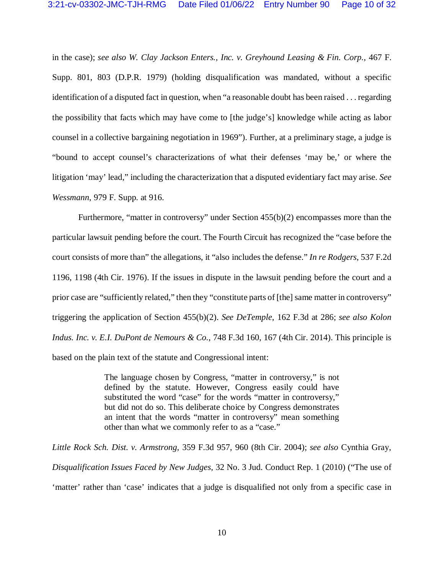in the case); *see also W. Clay Jackson Enters., Inc. v. Greyhound Leasing & Fin. Corp.*, 467 F. Supp. 801, 803 (D.P.R. 1979) (holding disqualification was mandated, without a specific identification of a disputed fact in question, when "a reasonable doubt has been raised . . . regarding the possibility that facts which may have come to [the judge's] knowledge while acting as labor counsel in a collective bargaining negotiation in 1969"). Further, at a preliminary stage, a judge is "bound to accept counsel's characterizations of what their defenses 'may be,' or where the litigation 'may' lead," including the characterization that a disputed evidentiary fact may arise. *See Wessmann*, 979 F. Supp. at 916.

Furthermore, "matter in controversy" under Section 455(b)(2) encompasses more than the particular lawsuit pending before the court. The Fourth Circuit has recognized the "case before the court consists of more than" the allegations, it "also includes the defense." *In re Rodgers*, 537 F.2d 1196, 1198 (4th Cir. 1976). If the issues in dispute in the lawsuit pending before the court and a prior case are "sufficiently related," then they "constitute parts of [the] same matter in controversy" triggering the application of Section 455(b)(2). *See DeTemple*, 162 F.3d at 286; *see also Kolon Indus. Inc. v. E.I. DuPont de Nemours & Co.*, 748 F.3d 160, 167 (4th Cir. 2014). This principle is based on the plain text of the statute and Congressional intent:

> The language chosen by Congress, "matter in controversy," is not defined by the statute. However, Congress easily could have substituted the word "case" for the words "matter in controversy," but did not do so. This deliberate choice by Congress demonstrates an intent that the words "matter in controversy" mean something other than what we commonly refer to as a "case."

*Little Rock Sch. Dist. v. Armstrong*, 359 F.3d 957, 960 (8th Cir. 2004); *see also* Cynthia Gray, *Disqualification Issues Faced by New Judges*, 32 No. 3 Jud. Conduct Rep. 1 (2010) ("The use of 'matter' rather than 'case' indicates that a judge is disqualified not only from a specific case in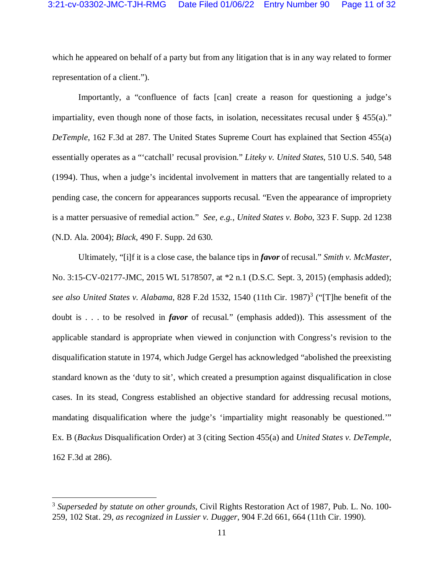which he appeared on behalf of a party but from any litigation that is in any way related to former representation of a client.").

Importantly, a "confluence of facts [can] create a reason for questioning a judge's impartiality, even though none of those facts, in isolation, necessitates recusal under  $\S$  455(a)." *DeTemple*, 162 F.3d at 287. The United States Supreme Court has explained that Section 455(a) essentially operates as a "'catchall' recusal provision." *Liteky v. United States*, 510 U.S. 540, 548 (1994). Thus, when a judge's incidental involvement in matters that are tangentially related to a pending case, the concern for appearances supports recusal. "Even the appearance of impropriety is a matter persuasive of remedial action." *See, e.g.*, *United States v. Bobo*, 323 F. Supp. 2d 1238 (N.D. Ala. 2004); *Black*, 490 F. Supp. 2d 630.

Ultimately, "[i]f it is a close case, the balance tips in *favor* of recusal." *Smith v. McMaster*, No. 3:15-CV-02177-JMC, 2015 WL 5178507, at \*2 n.1 (D.S.C. Sept. 3, 2015) (emphasis added); see also United States v. Alabama, 828 F.2d 1532, 1540 (11th Cir. 1987)<sup>3</sup> ("[T]he benefit of the doubt is . . . to be resolved in *favor* of recusal." (emphasis added)). This assessment of the applicable standard is appropriate when viewed in conjunction with Congress's revision to the disqualification statute in 1974, which Judge Gergel has acknowledged "abolished the preexisting standard known as the 'duty to sit', which created a presumption against disqualification in close cases. In its stead, Congress established an objective standard for addressing recusal motions, mandating disqualification where the judge's 'impartiality might reasonably be questioned.'" Ex. B (*Backus* Disqualification Order) at 3 (citing Section 455(a) and *United States v. DeTemple*, 162 F.3d at 286).

<u>.</u>

<sup>3</sup> *Superseded by statute on other grounds*, Civil Rights Restoration Act of 1987, Pub. L. No. 100- 259, 102 Stat. 29, *as recognized in Lussier v. Dugger*, 904 F.2d 661, 664 (11th Cir. 1990).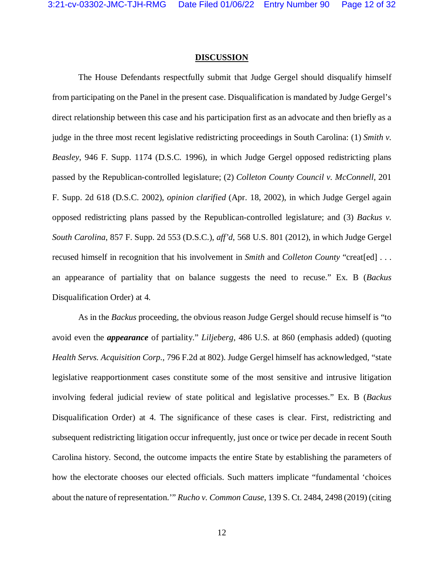#### **DISCUSSION**

The House Defendants respectfully submit that Judge Gergel should disqualify himself from participating on the Panel in the present case. Disqualification is mandated by Judge Gergel's direct relationship between this case and his participation first as an advocate and then briefly as a judge in the three most recent legislative redistricting proceedings in South Carolina: (1) *Smith v. Beasley*, 946 F. Supp. 1174 (D.S.C. 1996), in which Judge Gergel opposed redistricting plans passed by the Republican-controlled legislature; (2) *Colleton County Council v. McConnell*, 201 F. Supp. 2d 618 (D.S.C. 2002), *opinion clarified* (Apr. 18, 2002), in which Judge Gergel again opposed redistricting plans passed by the Republican-controlled legislature; and (3) *Backus v. South Carolina*, 857 F. Supp. 2d 553 (D.S.C.), *aff'd*, 568 U.S. 801 (2012), in which Judge Gergel recused himself in recognition that his involvement in *Smith* and *Colleton County* "creat[ed] . . . an appearance of partiality that on balance suggests the need to recuse." Ex. B (*Backus* Disqualification Order) at 4.

As in the *Backus* proceeding, the obvious reason Judge Gergel should recuse himself is "to avoid even the *appearance* of partiality." *Liljeberg*, 486 U.S. at 860 (emphasis added) (quoting *Health Servs. Acquisition Corp.*, 796 F.2d at 802). Judge Gergel himself has acknowledged, "state legislative reapportionment cases constitute some of the most sensitive and intrusive litigation involving federal judicial review of state political and legislative processes." Ex. B (*Backus*  Disqualification Order) at 4. The significance of these cases is clear. First, redistricting and subsequent redistricting litigation occur infrequently, just once or twice per decade in recent South Carolina history. Second, the outcome impacts the entire State by establishing the parameters of how the electorate chooses our elected officials. Such matters implicate "fundamental 'choices about the nature of representation.'" *Rucho v. Common Cause*, 139 S. Ct. 2484, 2498 (2019) (citing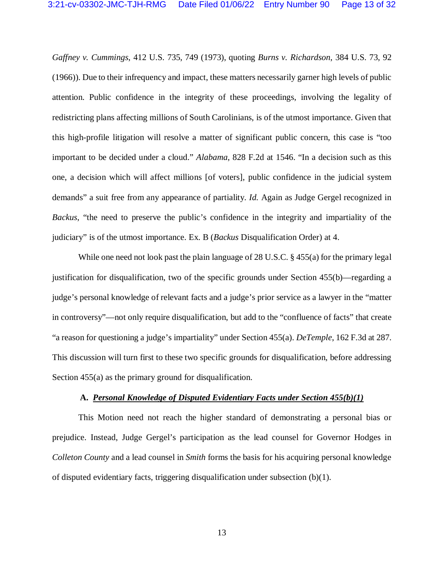*Gaffney v. Cummings*, 412 U.S. 735, 749 (1973), quoting *Burns v. Richardson*, 384 U.S. 73, 92 (1966)). Due to their infrequency and impact, these matters necessarily garner high levels of public attention. Public confidence in the integrity of these proceedings, involving the legality of redistricting plans affecting millions of South Carolinians, is of the utmost importance. Given that this high-profile litigation will resolve a matter of significant public concern, this case is "too important to be decided under a cloud." *Alabama*, 828 F.2d at 1546. "In a decision such as this one, a decision which will affect millions [of voters], public confidence in the judicial system demands" a suit free from any appearance of partiality. *Id.* Again as Judge Gergel recognized in *Backus*, "the need to preserve the public's confidence in the integrity and impartiality of the judiciary" is of the utmost importance. Ex. B (*Backus* Disqualification Order) at 4.

While one need not look past the plain language of 28 U.S.C. § 455(a) for the primary legal justification for disqualification, two of the specific grounds under Section 455(b)—regarding a judge's personal knowledge of relevant facts and a judge's prior service as a lawyer in the "matter in controversy"—not only require disqualification, but add to the "confluence of facts" that create "a reason for questioning a judge's impartiality" under Section 455(a). *DeTemple*, 162 F.3d at 287. This discussion will turn first to these two specific grounds for disqualification, before addressing Section 455(a) as the primary ground for disqualification.

### **A.** *Personal Knowledge of Disputed Evidentiary Facts under Section 455(b)(1)*

This Motion need not reach the higher standard of demonstrating a personal bias or prejudice. Instead, Judge Gergel's participation as the lead counsel for Governor Hodges in *Colleton County* and a lead counsel in *Smith* forms the basis for his acquiring personal knowledge of disputed evidentiary facts, triggering disqualification under subsection  $(b)(1)$ .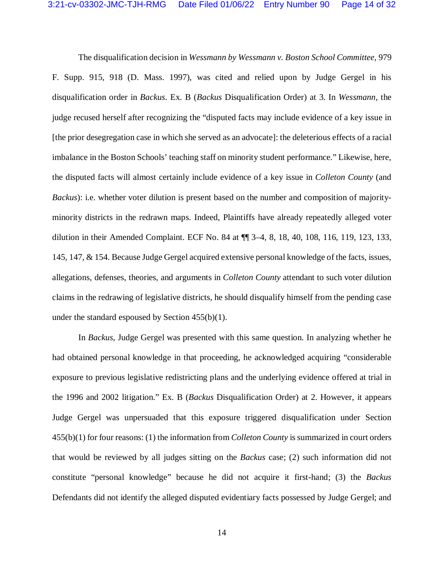The disqualification decision in *Wessmann by Wessmann v. Boston School Committee*, 979 F. Supp. 915, 918 (D. Mass. 1997), was cited and relied upon by Judge Gergel in his disqualification order in *Backus*. Ex. B (*Backus* Disqualification Order) at 3. In *Wessmann*, the judge recused herself after recognizing the "disputed facts may include evidence of a key issue in [the prior desegregation case in which she served as an advocate]: the deleterious effects of a racial imbalance in the Boston Schools' teaching staff on minority student performance." Likewise, here, the disputed facts will almost certainly include evidence of a key issue in *Colleton County* (and *Backus*): i.e. whether voter dilution is present based on the number and composition of majorityminority districts in the redrawn maps. Indeed, Plaintiffs have already repeatedly alleged voter dilution in their Amended Complaint. ECF No. 84 at ¶¶ 3–4, 8, 18, 40, 108, 116, 119, 123, 133, 145, 147, & 154. Because Judge Gergel acquired extensive personal knowledge of the facts, issues, allegations, defenses, theories, and arguments in *Colleton County* attendant to such voter dilution claims in the redrawing of legislative districts, he should disqualify himself from the pending case under the standard espoused by Section 455(b)(1).

In *Backus*, Judge Gergel was presented with this same question. In analyzing whether he had obtained personal knowledge in that proceeding, he acknowledged acquiring "considerable exposure to previous legislative redistricting plans and the underlying evidence offered at trial in the 1996 and 2002 litigation." Ex. B (*Backus* Disqualification Order) at 2. However, it appears Judge Gergel was unpersuaded that this exposure triggered disqualification under Section 455(b)(1) for four reasons: (1) the information from *Colleton County* is summarized in court orders that would be reviewed by all judges sitting on the *Backus* case; (2) such information did not constitute "personal knowledge" because he did not acquire it first-hand; (3) the *Backus*  Defendants did not identify the alleged disputed evidentiary facts possessed by Judge Gergel; and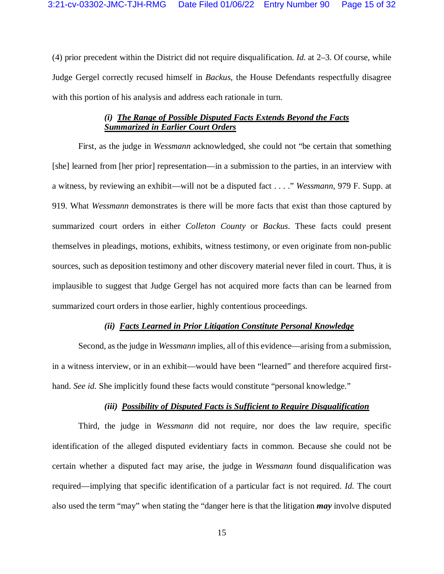(4) prior precedent within the District did not require disqualification. *Id.* at 2–3. Of course, while Judge Gergel correctly recused himself in *Backus*, the House Defendants respectfully disagree with this portion of his analysis and address each rationale in turn.

# *(i)**The Range of Possible Disputed Facts Extends Beyond the Facts Summarized in Earlier Court Orders*

First, as the judge in *Wessmann* acknowledged, she could not "be certain that something [she] learned from [her prior] representation—in a submission to the parties, in an interview with a witness, by reviewing an exhibit—will not be a disputed fact . . . ." *Wessmann*, 979 F. Supp. at 919. What *Wessmann* demonstrates is there will be more facts that exist than those captured by summarized court orders in either *Colleton County* or *Backus*. These facts could present themselves in pleadings, motions, exhibits, witness testimony, or even originate from non-public sources, such as deposition testimony and other discovery material never filed in court. Thus, it is implausible to suggest that Judge Gergel has not acquired more facts than can be learned from summarized court orders in those earlier, highly contentious proceedings.

# *(ii) Facts Learned in Prior Litigation Constitute Personal Knowledge*

Second, as the judge in *Wessmann* implies, all of this evidence—arising from a submission, in a witness interview, or in an exhibit—would have been "learned" and therefore acquired firsthand. *See id.* She implicitly found these facts would constitute "personal knowledge."

# *(iii) Possibility of Disputed Facts is Sufficient to Require Disqualification*

Third, the judge in *Wessmann* did not require, nor does the law require, specific identification of the alleged disputed evidentiary facts in common. Because she could not be certain whether a disputed fact may arise, the judge in *Wessmann* found disqualification was required—implying that specific identification of a particular fact is not required. *Id.* The court also used the term "may" when stating the "danger here is that the litigation *may* involve disputed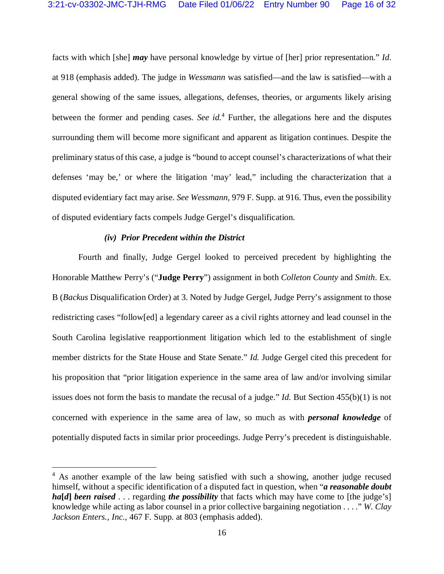facts with which [she] *may* have personal knowledge by virtue of [her] prior representation." *Id.* at 918 (emphasis added). The judge in *Wessmann* was satisfied—and the law is satisfied—with a general showing of the same issues, allegations, defenses, theories, or arguments likely arising between the former and pending cases. *See id.*<sup>4</sup> Further, the allegations here and the disputes surrounding them will become more significant and apparent as litigation continues. Despite the preliminary status of this case, a judge is "bound to accept counsel's characterizations of what their defenses 'may be,' or where the litigation 'may' lead," including the characterization that a disputed evidentiary fact may arise. *See Wessmann*, 979 F. Supp. at 916. Thus, even the possibility of disputed evidentiary facts compels Judge Gergel's disqualification.

### *(iv) Prior Precedent within the District*

 $\overline{a}$ 

Fourth and finally, Judge Gergel looked to perceived precedent by highlighting the Honorable Matthew Perry's ("**Judge Perry**") assignment in both *Colleton County* and *Smith*. Ex. B (*Backus* Disqualification Order) at 3. Noted by Judge Gergel, Judge Perry's assignment to those redistricting cases "follow[ed] a legendary career as a civil rights attorney and lead counsel in the South Carolina legislative reapportionment litigation which led to the establishment of single member districts for the State House and State Senate." *Id.* Judge Gergel cited this precedent for his proposition that "prior litigation experience in the same area of law and/or involving similar issues does not form the basis to mandate the recusal of a judge." *Id.* But Section 455(b)(1) is not concerned with experience in the same area of law, so much as with *personal knowledge* of potentially disputed facts in similar prior proceedings. Judge Perry's precedent is distinguishable.

<sup>&</sup>lt;sup>4</sup> As another example of the law being satisfied with such a showing, another judge recused himself, without a specific identification of a disputed fact in question, when "*a reasonable doubt*  **ha[***d***]** *been raised* . . . regarding *the possibility* that facts which may have come to [the judge's] knowledge while acting as labor counsel in a prior collective bargaining negotiation . . . ." *W. Clay Jackson Enters., Inc.*, 467 F. Supp. at 803 (emphasis added).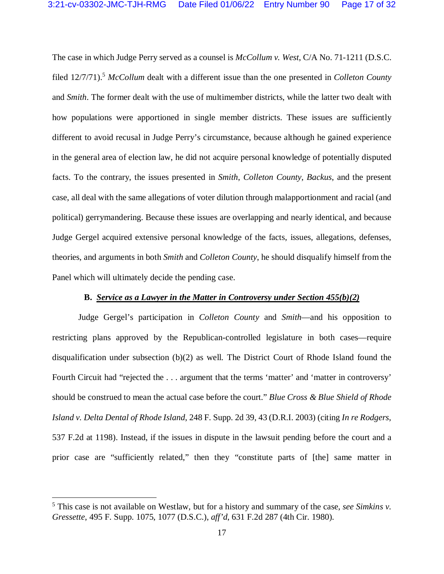The case in which Judge Perry served as a counsel is *McCollum v. West*, C/A No. 71-1211 (D.S.C. filed 12/7/71).<sup>5</sup> *McCollum* dealt with a different issue than the one presented in *Colleton County*  and *Smith*. The former dealt with the use of multimember districts, while the latter two dealt with how populations were apportioned in single member districts. These issues are sufficiently different to avoid recusal in Judge Perry's circumstance, because although he gained experience in the general area of election law, he did not acquire personal knowledge of potentially disputed facts. To the contrary, the issues presented in *Smith*, *Colleton County*, *Backus*, and the present case, all deal with the same allegations of voter dilution through malapportionment and racial (and political) gerrymandering. Because these issues are overlapping and nearly identical, and because Judge Gergel acquired extensive personal knowledge of the facts, issues, allegations, defenses, theories, and arguments in both *Smith* and *Colleton County*, he should disqualify himself from the Panel which will ultimately decide the pending case.

## **B.** *Service as a Lawyer in the Matter in Controversy under Section 455(b)(2)*

Judge Gergel's participation in *Colleton County* and *Smith*—and his opposition to restricting plans approved by the Republican-controlled legislature in both cases—require disqualification under subsection (b)(2) as well. The District Court of Rhode Island found the Fourth Circuit had "rejected the . . . argument that the terms 'matter' and 'matter in controversy' should be construed to mean the actual case before the court." *Blue Cross & Blue Shield of Rhode Island v. Delta Dental of Rhode Island*, 248 F. Supp. 2d 39, 43 (D.R.I. 2003) (citing *In re Rodgers*, 537 F.2d at 1198). Instead, if the issues in dispute in the lawsuit pending before the court and a prior case are "sufficiently related," then they "constitute parts of [the] same matter in

 $\overline{a}$ 

<sup>5</sup> This case is not available on Westlaw, but for a history and summary of the case, *see Simkins v. Gressette*, 495 F. Supp. 1075, 1077 (D.S.C.), *aff'd*, 631 F.2d 287 (4th Cir. 1980).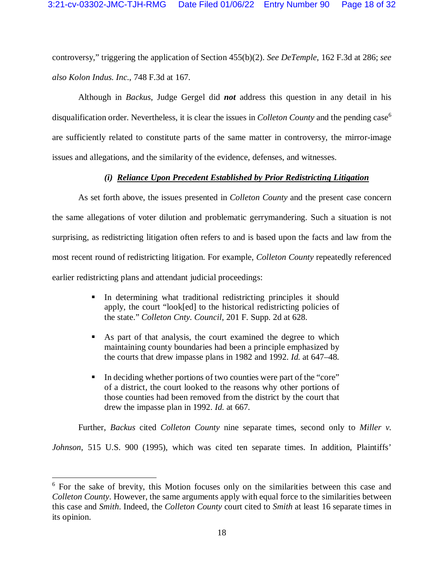controversy," triggering the application of Section 455(b)(2). *See DeTemple*, 162 F.3d at 286; *see also Kolon Indus. Inc.*, 748 F.3d at 167.

Although in *Backus*, Judge Gergel did *not* address this question in any detail in his disqualification order. Nevertheless, it is clear the issues in *Colleton County* and the pending case<sup>6</sup> are sufficiently related to constitute parts of the same matter in controversy, the mirror-image issues and allegations, and the similarity of the evidence, defenses, and witnesses.

# *(i) Reliance Upon Precedent Established by Prior Redistricting Litigation*

As set forth above, the issues presented in *Colleton County* and the present case concern the same allegations of voter dilution and problematic gerrymandering. Such a situation is not surprising, as redistricting litigation often refers to and is based upon the facts and law from the most recent round of redistricting litigation. For example, *Colleton County* repeatedly referenced earlier redistricting plans and attendant judicial proceedings:

- In determining what traditional redistricting principles it should apply, the court "look[ed] to the historical redistricting policies of the state." *Colleton Cnty. Council*, 201 F. Supp. 2d at 628.
- As part of that analysis, the court examined the degree to which maintaining county boundaries had been a principle emphasized by the courts that drew impasse plans in 1982 and 1992. *Id.* at 647–48.
- In deciding whether portions of two counties were part of the "core" of a district, the court looked to the reasons why other portions of those counties had been removed from the district by the court that drew the impasse plan in 1992. *Id.* at 667.

Further, *Backus* cited *Colleton County* nine separate times, second only to *Miller v.* 

*Johnson*, 515 U.S. 900 (1995), which was cited ten separate times. In addition, Plaintiffs'

 $\overline{a}$ 

<sup>&</sup>lt;sup>6</sup> For the sake of brevity, this Motion focuses only on the similarities between this case and *Colleton County*. However, the same arguments apply with equal force to the similarities between this case and *Smith*. Indeed, the *Colleton County* court cited to *Smith* at least 16 separate times in its opinion.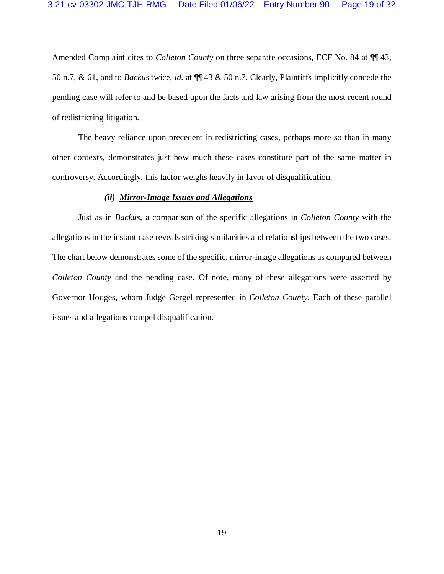Amended Complaint cites to *Colleton County* on three separate occasions, ECF No. 84 at ¶¶ 43, 50 n.7, & 61, and to *Backus* twice, *id.* at ¶¶ 43 & 50 n.7. Clearly, Plaintiffs implicitly concede the pending case will refer to and be based upon the facts and law arising from the most recent round of redistricting litigation.

The heavy reliance upon precedent in redistricting cases, perhaps more so than in many other contexts, demonstrates just how much these cases constitute part of the same matter in controversy. Accordingly, this factor weighs heavily in favor of disqualification.

### *(ii) Mirror-Image Issues and Allegations*

Just as in *Backus*, a comparison of the specific allegations in *Colleton County* with the allegations in the instant case reveals striking similarities and relationships between the two cases. The chart below demonstrates some of the specific, mirror-image allegations as compared between *Colleton County* and the pending case. Of note, many of these allegations were asserted by Governor Hodges, whom Judge Gergel represented in *Colleton County*. Each of these parallel issues and allegations compel disqualification.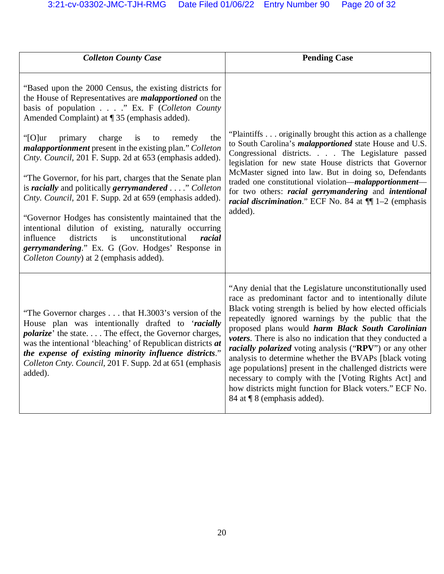| <b>Colleton County Case</b>                                                                                                                                                                                                                                                                                                                                                                                                                                                                                                                                                                                                                                                                                                                                                                                                                                                          | <b>Pending Case</b>                                                                                                                                                                                                                                                                                                                                                                                                                                                                                                                                                                                                                                                                             |
|--------------------------------------------------------------------------------------------------------------------------------------------------------------------------------------------------------------------------------------------------------------------------------------------------------------------------------------------------------------------------------------------------------------------------------------------------------------------------------------------------------------------------------------------------------------------------------------------------------------------------------------------------------------------------------------------------------------------------------------------------------------------------------------------------------------------------------------------------------------------------------------|-------------------------------------------------------------------------------------------------------------------------------------------------------------------------------------------------------------------------------------------------------------------------------------------------------------------------------------------------------------------------------------------------------------------------------------------------------------------------------------------------------------------------------------------------------------------------------------------------------------------------------------------------------------------------------------------------|
| "Based upon the 2000 Census, the existing districts for<br>the House of Representatives are <i>malapportioned</i> on the<br>basis of population " Ex. F (Colleton County<br>Amended Complaint) at ¶ 35 (emphasis added).<br>" $[O]$ ur<br>primary<br>charge<br>is<br>remedy<br>the<br>to<br><i>malapportionment</i> present in the existing plan." Colleton<br>Cnty. Council, 201 F. Supp. 2d at 653 (emphasis added).<br>"The Governor, for his part, charges that the Senate plan<br>is racially and politically gerrymandered" Colleton<br>Cnty. Council, 201 F. Supp. 2d at 659 (emphasis added).<br>"Governor Hodges has consistently maintained that the<br>intentional dilution of existing, naturally occurring<br>unconstitutional<br>influence<br>districts<br>racial<br>is<br>gerrymandering." Ex. G (Gov. Hodges' Response in<br>Colleton County) at 2 (emphasis added). | "Plaintiffs originally brought this action as a challenge<br>to South Carolina's <i>malapportioned</i> state House and U.S.<br>Congressional districts. The Legislature passed<br>legislation for new state House districts that Governor<br>McMaster signed into law. But in doing so, Defendants<br>traded one constitutional violation-malapportionment-<br>for two others: <i>racial gerrymandering</i> and <i>intentional</i><br><i>racial discrimination.</i> " ECF No. 84 at $\P$ [1-2 (emphasis<br>added).                                                                                                                                                                              |
| "The Governor charges that H.3003's version of the<br>House plan was intentionally drafted to 'racially<br><i>polarize'</i> the state The effect, the Governor charges,<br>was the intentional 'bleaching' of Republican districts at<br>the expense of existing minority influence districts."<br>Colleton Cnty. Council, 201 F. Supp. 2d at 651 (emphasis<br>added).                                                                                                                                                                                                                                                                                                                                                                                                                                                                                                               | "Any denial that the Legislature unconstitutionally used<br>race as predominant factor and to intentionally dilute<br>Black voting strength is belied by how elected officials<br>repeatedly ignored warnings by the public that the<br>proposed plans would harm Black South Carolinian<br>voters. There is also no indication that they conducted a<br><i>racially polarized</i> voting analysis ("RPV") or any other<br>analysis to determine whether the BVAPs [black voting<br>age populations] present in the challenged districts were<br>necessary to comply with the [Voting Rights Act] and<br>how districts might function for Black voters." ECF No.<br>84 at ¶ 8 (emphasis added). |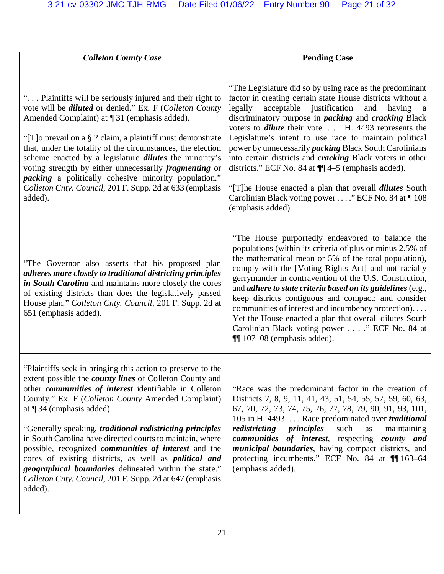| <b>Colleton County Case</b>                                                                                                                                                                                                                                                                                                                                                                                                                                                                                                                                                                                                                                                                        | <b>Pending Case</b>                                                                                                                                                                                                                                                                                                                                                                                                                                                                                                                                                                                                                                                                                                                   |
|----------------------------------------------------------------------------------------------------------------------------------------------------------------------------------------------------------------------------------------------------------------------------------------------------------------------------------------------------------------------------------------------------------------------------------------------------------------------------------------------------------------------------------------------------------------------------------------------------------------------------------------------------------------------------------------------------|---------------------------------------------------------------------------------------------------------------------------------------------------------------------------------------------------------------------------------------------------------------------------------------------------------------------------------------------------------------------------------------------------------------------------------------------------------------------------------------------------------------------------------------------------------------------------------------------------------------------------------------------------------------------------------------------------------------------------------------|
| " Plaintiffs will be seriously injured and their right to<br>vote will be <i>diluted</i> or denied." Ex. F (Colleton County<br>Amended Complaint) at $\P$ 31 (emphasis added).<br>"[T] o prevail on a § 2 claim, a plaintiff must demonstrate<br>that, under the totality of the circumstances, the election<br>scheme enacted by a legislature <i>dilutes</i> the minority's<br>voting strength by either unnecessarily <i>fragmenting</i> or<br><i>packing</i> a politically cohesive minority population."<br>Colleton Cnty. Council, 201 F. Supp. 2d at 633 (emphasis<br>added).                                                                                                               | "The Legislature did so by using race as the predominant<br>factor in creating certain state House districts without a<br>legally<br>acceptable justification<br>and<br>having<br>a<br>discriminatory purpose in <i>packing</i> and <i>cracking</i> Black<br>voters to <i>dilute</i> their vote. $\ldots$ H. 4493 represents the<br>Legislature's intent to use race to maintain political<br>power by unnecessarily <i>packing</i> Black South Carolinians<br>into certain districts and <i>cracking</i> Black voters in other<br>districts." ECF No. 84 at $\P$ $4-5$ (emphasis added).<br>"[T] he House enacted a plan that overall <i>dilutes</i> South<br>Carolinian Black voting power " ECF No. 84 at 108<br>(emphasis added). |
| "The Governor also asserts that his proposed plan<br>adheres more closely to traditional districting principles<br>in South Carolina and maintains more closely the cores<br>of existing districts than does the legislatively passed<br>House plan." Colleton Cnty. Council, 201 F. Supp. 2d at<br>651 (emphasis added).                                                                                                                                                                                                                                                                                                                                                                          | "The House purportedly endeavored to balance the<br>populations (within its criteria of plus or minus 2.5% of<br>the mathematical mean or 5% of the total population),<br>comply with the [Voting Rights Act] and not racially<br>gerrymander in contravention of the U.S. Constitution,<br>and <i>adhere to state criteria based on its guidelines</i> (e.g.,<br>keep districts contiguous and compact; and consider<br>communities of interest and incumbency protection).<br>Yet the House enacted a plan that overall dilutes South<br>Carolinian Black voting power " ECF No. 84 at<br>$\P$ 107–08 (emphasis added).                                                                                                             |
| "Plaintiffs seek in bringing this action to preserve to the<br>extent possible the <i>county lines</i> of Colleton County and<br>other <i>communities</i> of <i>interest</i> identifiable in Colleton<br>County." Ex. F (Colleton County Amended Complaint)<br>at $\P$ 34 (emphasis added).<br>"Generally speaking, <i>traditional redistricting principles</i><br>in South Carolina have directed courts to maintain, where<br>possible, recognized <i>communities</i> of <i>interest</i> and the<br>cores of existing districts, as well as <i>political and</i><br>geographical boundaries delineated within the state."<br>Colleton Cnty. Council, 201 F. Supp. 2d at 647 (emphasis<br>added). | "Race was the predominant factor in the creation of<br>Districts 7, 8, 9, 11, 41, 43, 51, 54, 55, 57, 59, 60, 63,<br>67, 70, 72, 73, 74, 75, 76, 77, 78, 79, 90, 91, 93, 101,<br>105 in H. 4493. Race predominated over <i>traditional</i><br>such<br>redistricting<br>principles<br>maintaining<br>as<br>communities of interest, respecting county and<br><i>municipal boundaries</i> , having compact districts, and<br>protecting incumbents." ECF No. 84 at ¶ 163–64<br>(emphasis added).                                                                                                                                                                                                                                        |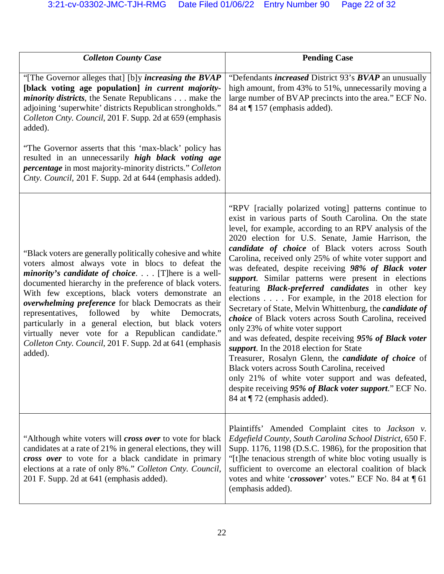| <b>Colleton County Case</b>                                                                                                                                                                                                                                                                                                                                                                                                                                                                                                                                                                         | <b>Pending Case</b>                                                                                                                                                                                                                                                                                                                                                                                                                                                                                                                                                                                                                                                                                                                                                                                                                                                                                                                                                                                                                                                                                   |
|-----------------------------------------------------------------------------------------------------------------------------------------------------------------------------------------------------------------------------------------------------------------------------------------------------------------------------------------------------------------------------------------------------------------------------------------------------------------------------------------------------------------------------------------------------------------------------------------------------|-------------------------------------------------------------------------------------------------------------------------------------------------------------------------------------------------------------------------------------------------------------------------------------------------------------------------------------------------------------------------------------------------------------------------------------------------------------------------------------------------------------------------------------------------------------------------------------------------------------------------------------------------------------------------------------------------------------------------------------------------------------------------------------------------------------------------------------------------------------------------------------------------------------------------------------------------------------------------------------------------------------------------------------------------------------------------------------------------------|
| "[The Governor alleges that] [b]y <i>increasing the BVAP</i><br>[black voting age population] in current majority-<br>minority districts, the Senate Republicans make the<br>adjoining 'superwhite' districts Republican strongholds."<br>Colleton Cnty. Council, 201 F. Supp. 2d at 659 (emphasis<br>added).<br>"The Governor asserts that this 'max-black' policy has<br>resulted in an unnecessarily high black voting age<br><i>percentage</i> in most majority-minority districts." Colleton<br>Cnty. Council, 201 F. Supp. 2d at 644 (emphasis added).                                        | "Defendants <i>increased</i> District 93's <b>BVAP</b> an unusually<br>high amount, from 43% to 51%, unnecessarily moving a<br>large number of BVAP precincts into the area." ECF No.<br>84 at ¶157 (emphasis added).                                                                                                                                                                                                                                                                                                                                                                                                                                                                                                                                                                                                                                                                                                                                                                                                                                                                                 |
| "Black voters are generally politically cohesive and white<br>voters almost always vote in blocs to defeat the<br><i>minority's candidate of choice</i> [T] here is a well-<br>documented hierarchy in the preference of black voters.<br>With few exceptions, black voters demonstrate an<br>overwhelming preference for black Democrats as their<br>representatives,<br>followed<br>by<br>white<br>Democrats,<br>particularly in a general election, but black voters<br>virtually never vote for a Republican candidate."<br>Colleton Cnty. Council, 201 F. Supp. 2d at 641 (emphasis<br>added). | "RPV [racially polarized voting] patterns continue to<br>exist in various parts of South Carolina. On the state<br>level, for example, according to an RPV analysis of the<br>2020 election for U.S. Senate, Jamie Harrison, the<br>candidate of choice of Black voters across South<br>Carolina, received only 25% of white voter support and<br>was defeated, despite receiving 98% of Black voter<br>support. Similar patterns were present in elections<br>featuring <b>Black-preferred</b> candidates in other key<br>elections For example, in the 2018 election for<br>Secretary of State, Melvin Whittenburg, the candidate of<br>choice of Black voters across South Carolina, received<br>only 23% of white voter support<br>and was defeated, despite receiving 95% of Black voter<br>support. In the 2018 election for State<br>Treasurer, Rosalyn Glenn, the <i>candidate of choice</i> of<br>Black voters across South Carolina, received<br>only 21% of white voter support and was defeated,<br>despite receiving 95% of Black voter support." ECF No.<br>84 at ¶72 (emphasis added). |
| "Although white voters will <i>cross over</i> to vote for black<br>candidates at a rate of 21% in general elections, they will<br>cross over to vote for a black candidate in primary<br>elections at a rate of only 8%." Colleton Cnty. Council,<br>201 F. Supp. 2d at 641 (emphasis added).                                                                                                                                                                                                                                                                                                       | Plaintiffs' Amended Complaint cites to Jackson v.<br>Edgefield County, South Carolina School District, 650 F.<br>Supp. 1176, 1198 (D.S.C. 1986), for the proposition that<br>"[t] he tenacious strength of white bloc voting usually is<br>sufficient to overcome an electoral coalition of black<br>votes and white 'crossover' votes." ECF No. 84 at 161<br>(emphasis added).                                                                                                                                                                                                                                                                                                                                                                                                                                                                                                                                                                                                                                                                                                                       |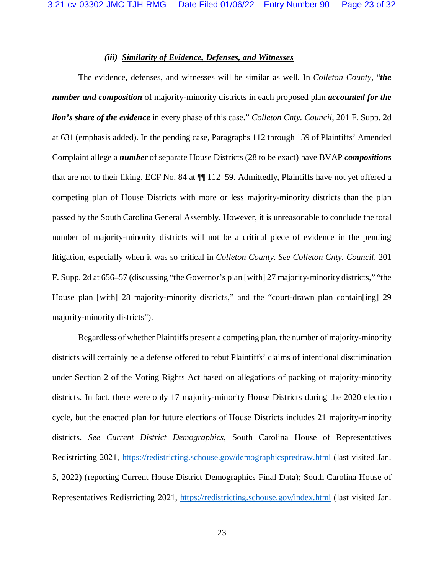## *(iii) Similarity of Evidence, Defenses, and Witnesses*

The evidence, defenses, and witnesses will be similar as well. In *Colleton County*, "*the number and composition* of majority-minority districts in each proposed plan *accounted for the lion's share of the evidence* in every phase of this case." *Colleton Cnty. Council*, 201 F. Supp. 2d at 631 (emphasis added). In the pending case, Paragraphs 112 through 159 of Plaintiffs' Amended Complaint allege a *number* of separate House Districts (28 to be exact) have BVAP *compositions* that are not to their liking. ECF No. 84 at ¶¶ 112–59. Admittedly, Plaintiffs have not yet offered a competing plan of House Districts with more or less majority-minority districts than the plan passed by the South Carolina General Assembly. However, it is unreasonable to conclude the total number of majority-minority districts will not be a critical piece of evidence in the pending litigation, especially when it was so critical in *Colleton County*. *See Colleton Cnty. Council*, 201 F. Supp. 2d at 656–57 (discussing "the Governor's plan [with] 27 majority-minority districts," "the House plan [with] 28 majority-minority districts," and the "court-drawn plan contain [ing] 29 majority-minority districts").

Regardless of whether Plaintiffs present a competing plan, the number of majority-minority districts will certainly be a defense offered to rebut Plaintiffs' claims of intentional discrimination under Section 2 of the Voting Rights Act based on allegations of packing of majority-minority districts. In fact, there were only 17 majority-minority House Districts during the 2020 election cycle, but the enacted plan for future elections of House Districts includes 21 majority-minority districts. *See Current District Demographics*, South Carolina House of Representatives Redistricting 2021, https://redistricting.schouse.gov/demographicspredraw.html (last visited Jan. 5, 2022) (reporting Current House District Demographics Final Data); South Carolina House of Representatives Redistricting 2021, https://redistricting.schouse.gov/index.html (last visited Jan.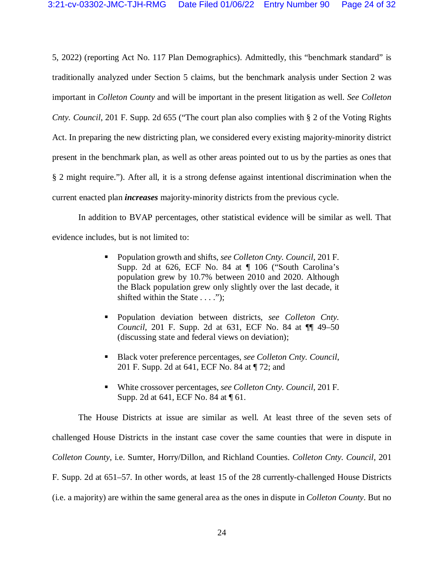5, 2022) (reporting Act No. 117 Plan Demographics). Admittedly, this "benchmark standard" is traditionally analyzed under Section 5 claims, but the benchmark analysis under Section 2 was important in *Colleton County* and will be important in the present litigation as well. *See Colleton Cnty. Council*, 201 F. Supp. 2d 655 ("The court plan also complies with § 2 of the Voting Rights Act. In preparing the new districting plan, we considered every existing majority-minority district present in the benchmark plan, as well as other areas pointed out to us by the parties as ones that § 2 might require."). After all, it is a strong defense against intentional discrimination when the current enacted plan *increases* majority-minority districts from the previous cycle.

In addition to BVAP percentages, other statistical evidence will be similar as well. That evidence includes, but is not limited to:

- **Population growth and shifts,** *see Colleton Cnty. Council*, 201 F. Supp. 2d at 626, ECF No. 84 at ¶ 106 ("South Carolina's population grew by 10.7% between 2010 and 2020. Although the Black population grew only slightly over the last decade, it shifted within the State . . . .");
- Population deviation between districts, *see Colleton Cnty. Council*, 201 F. Supp. 2d at 631, ECF No. 84 at ¶¶ 49–50 (discussing state and federal views on deviation);
- Black voter preference percentages, *see Colleton Cnty. Council*, 201 F. Supp. 2d at 641, ECF No. 84 at ¶ 72; and
- White crossover percentages, *see Colleton Cnty. Council*, 201 F. Supp. 2d at 641, ECF No. 84 at ¶ 61.

The House Districts at issue are similar as well. At least three of the seven sets of challenged House Districts in the instant case cover the same counties that were in dispute in *Colleton County*, i.e. Sumter, Horry/Dillon, and Richland Counties. *Colleton Cnty. Council*, 201 F. Supp. 2d at 651–57. In other words, at least 15 of the 28 currently-challenged House Districts (i.e. a majority) are within the same general area as the ones in dispute in *Colleton County*. But no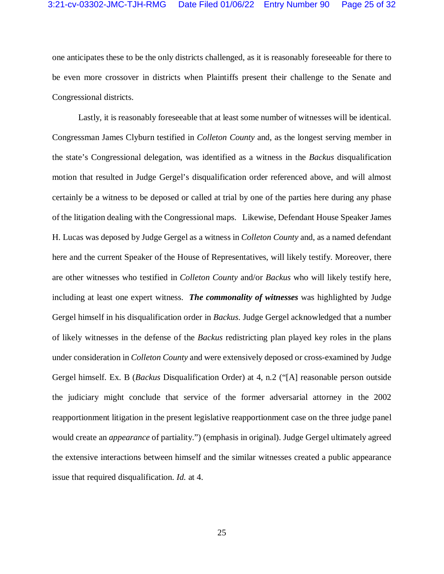one anticipates these to be the only districts challenged, as it is reasonably foreseeable for there to be even more crossover in districts when Plaintiffs present their challenge to the Senate and Congressional districts.

Lastly, it is reasonably foreseeable that at least some number of witnesses will be identical. Congressman James Clyburn testified in *Colleton County* and, as the longest serving member in the state's Congressional delegation, was identified as a witness in the *Backus* disqualification motion that resulted in Judge Gergel's disqualification order referenced above, and will almost certainly be a witness to be deposed or called at trial by one of the parties here during any phase of the litigation dealing with the Congressional maps. Likewise, Defendant House Speaker James H. Lucas was deposed by Judge Gergel as a witness in *Colleton County* and, as a named defendant here and the current Speaker of the House of Representatives, will likely testify. Moreover, there are other witnesses who testified in *Colleton County* and/or *Backus* who will likely testify here, including at least one expert witness. *The commonality of witnesses* was highlighted by Judge Gergel himself in his disqualification order in *Backus*. Judge Gergel acknowledged that a number of likely witnesses in the defense of the *Backus* redistricting plan played key roles in the plans under consideration in *Colleton County* and were extensively deposed or cross-examined by Judge Gergel himself. Ex. B (*Backus* Disqualification Order) at 4, n.2 ("[A] reasonable person outside the judiciary might conclude that service of the former adversarial attorney in the 2002 reapportionment litigation in the present legislative reapportionment case on the three judge panel would create an *appearance* of partiality.") (emphasis in original). Judge Gergel ultimately agreed the extensive interactions between himself and the similar witnesses created a public appearance issue that required disqualification. *Id.* at 4.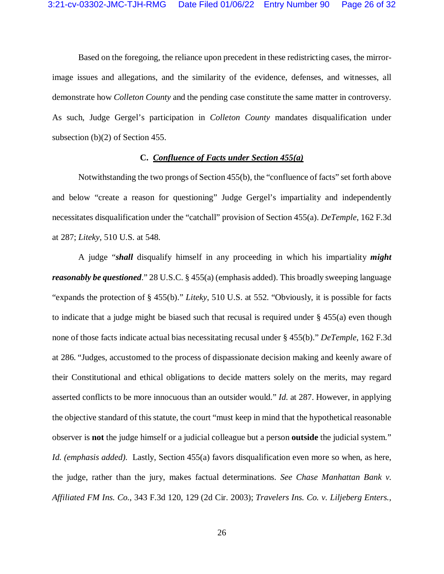Based on the foregoing, the reliance upon precedent in these redistricting cases, the mirrorimage issues and allegations, and the similarity of the evidence, defenses, and witnesses, all demonstrate how *Colleton County* and the pending case constitute the same matter in controversy. As such, Judge Gergel's participation in *Colleton County* mandates disqualification under subsection (b)(2) of Section 455.

## **C.** *Confluence of Facts under Section 455(a)*

Notwithstanding the two prongs of Section 455(b), the "confluence of facts" set forth above and below "create a reason for questioning" Judge Gergel's impartiality and independently necessitates disqualification under the "catchall" provision of Section 455(a). *DeTemple*, 162 F.3d at 287; *Liteky*, 510 U.S. at 548.

A judge "*shall* disqualify himself in any proceeding in which his impartiality *might reasonably be questioned*." 28 U.S.C. § 455(a) (emphasis added). This broadly sweeping language "expands the protection of § 455(b)." *Liteky*, 510 U.S. at 552. "Obviously, it is possible for facts to indicate that a judge might be biased such that recusal is required under § 455(a) even though none of those facts indicate actual bias necessitating recusal under § 455(b)." *DeTemple*, 162 F.3d at 286. "Judges, accustomed to the process of dispassionate decision making and keenly aware of their Constitutional and ethical obligations to decide matters solely on the merits, may regard asserted conflicts to be more innocuous than an outsider would." *Id.* at 287. However, in applying the objective standard of this statute, the court "must keep in mind that the hypothetical reasonable observer is **not** the judge himself or a judicial colleague but a person **outside** the judicial system." *Id. (emphasis added).* Lastly, Section 455(a) favors disqualification even more so when, as here, the judge, rather than the jury, makes factual determinations. *See Chase Manhattan Bank v. Affiliated FM Ins. Co.*, 343 F.3d 120, 129 (2d Cir. 2003); *Travelers Ins. Co. v. Liljeberg Enters.,*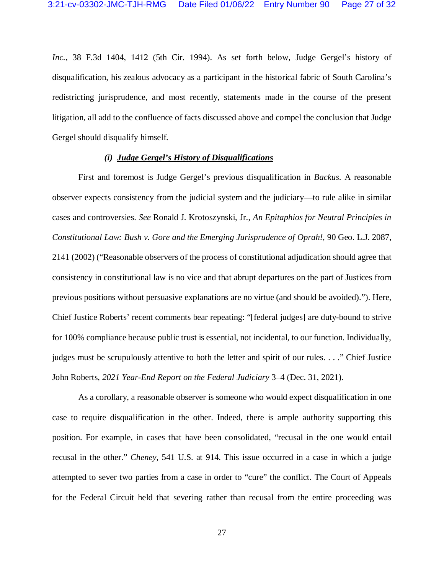*Inc.*, 38 F.3d 1404, 1412 (5th Cir. 1994). As set forth below, Judge Gergel's history of disqualification, his zealous advocacy as a participant in the historical fabric of South Carolina's redistricting jurisprudence, and most recently, statements made in the course of the present litigation, all add to the confluence of facts discussed above and compel the conclusion that Judge Gergel should disqualify himself.

### *(i) Judge Gergel's History of Disqualifications*

First and foremost is Judge Gergel's previous disqualification in *Backus*. A reasonable observer expects consistency from the judicial system and the judiciary—to rule alike in similar cases and controversies. *See* Ronald J. Krotoszynski, Jr., *An Epitaphios for Neutral Principles in Constitutional Law: Bush v. Gore and the Emerging Jurisprudence of Oprah!*, 90 Geo. L.J. 2087, 2141 (2002) ("Reasonable observers of the process of constitutional adjudication should agree that consistency in constitutional law is no vice and that abrupt departures on the part of Justices from previous positions without persuasive explanations are no virtue (and should be avoided)."). Here, Chief Justice Roberts' recent comments bear repeating: "[federal judges] are duty-bound to strive for 100% compliance because public trust is essential, not incidental, to our function. Individually, judges must be scrupulously attentive to both the letter and spirit of our rules. . . ." Chief Justice John Roberts, *2021 Year-End Report on the Federal Judiciary* 3–4 (Dec. 31, 2021).

As a corollary, a reasonable observer is someone who would expect disqualification in one case to require disqualification in the other. Indeed, there is ample authority supporting this position. For example, in cases that have been consolidated, "recusal in the one would entail recusal in the other." *Cheney*, 541 U.S. at 914. This issue occurred in a case in which a judge attempted to sever two parties from a case in order to "cure" the conflict. The Court of Appeals for the Federal Circuit held that severing rather than recusal from the entire proceeding was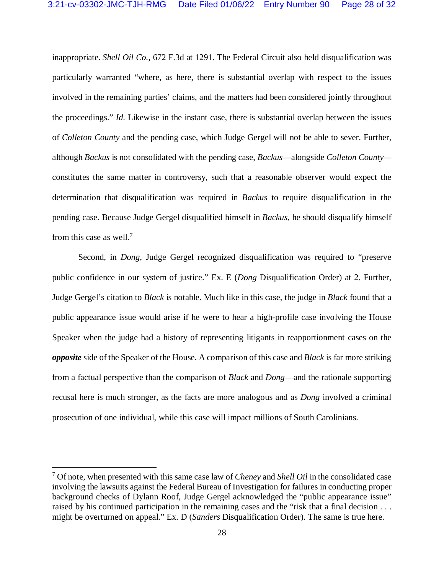inappropriate. *Shell Oil Co.*, 672 F.3d at 1291. The Federal Circuit also held disqualification was particularly warranted "where, as here, there is substantial overlap with respect to the issues involved in the remaining parties' claims, and the matters had been considered jointly throughout the proceedings." *Id.* Likewise in the instant case, there is substantial overlap between the issues of *Colleton County* and the pending case, which Judge Gergel will not be able to sever. Further, although *Backus* is not consolidated with the pending case, *Backus*—alongside *Colleton County* constitutes the same matter in controversy, such that a reasonable observer would expect the determination that disqualification was required in *Backus* to require disqualification in the pending case. Because Judge Gergel disqualified himself in *Backus*, he should disqualify himself from this case as well.<sup>7</sup>

Second, in *Dong*, Judge Gergel recognized disqualification was required to "preserve public confidence in our system of justice." Ex. E (*Dong* Disqualification Order) at 2. Further, Judge Gergel's citation to *Black* is notable. Much like in this case, the judge in *Black* found that a public appearance issue would arise if he were to hear a high-profile case involving the House Speaker when the judge had a history of representing litigants in reapportionment cases on the *opposite* side of the Speaker of the House. A comparison of this case and *Black* is far more striking from a factual perspective than the comparison of *Black* and *Dong*—and the rationale supporting recusal here is much stronger, as the facts are more analogous and as *Dong* involved a criminal prosecution of one individual, while this case will impact millions of South Carolinians.

 $\overline{a}$ 

<sup>7</sup> Of note, when presented with this same case law of *Cheney* and *Shell Oil* in the consolidated case involving the lawsuits against the Federal Bureau of Investigation for failures in conducting proper background checks of Dylann Roof, Judge Gergel acknowledged the "public appearance issue" raised by his continued participation in the remaining cases and the "risk that a final decision . . . might be overturned on appeal." Ex. D (*Sanders* Disqualification Order). The same is true here.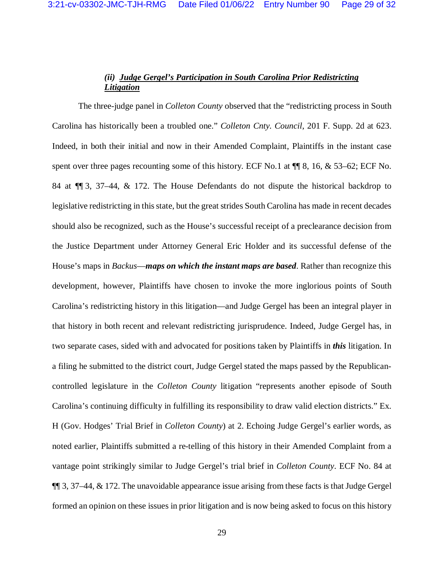# *(ii) Judge Gergel's Participation in South Carolina Prior Redistricting Litigation*

The three-judge panel in *Colleton County* observed that the "redistricting process in South Carolina has historically been a troubled one." *Colleton Cnty. Council*, 201 F. Supp. 2d at 623. Indeed, in both their initial and now in their Amended Complaint, Plaintiffs in the instant case spent over three pages recounting some of this history. ECF No.1 at  $\P$  8, 16, & 53–62; ECF No. 84 at ¶¶ 3, 37–44, & 172. The House Defendants do not dispute the historical backdrop to legislative redistricting in this state, but the great strides South Carolina has made in recent decades should also be recognized, such as the House's successful receipt of a preclearance decision from the Justice Department under Attorney General Eric Holder and its successful defense of the House's maps in *Backus*—*maps on which the instant maps are based*. Rather than recognize this development, however, Plaintiffs have chosen to invoke the more inglorious points of South Carolina's redistricting history in this litigation—and Judge Gergel has been an integral player in that history in both recent and relevant redistricting jurisprudence. Indeed, Judge Gergel has, in two separate cases, sided with and advocated for positions taken by Plaintiffs in *this* litigation. In a filing he submitted to the district court, Judge Gergel stated the maps passed by the Republicancontrolled legislature in the *Colleton County* litigation "represents another episode of South Carolina's continuing difficulty in fulfilling its responsibility to draw valid election districts." Ex. H (Gov. Hodges' Trial Brief in *Colleton County*) at 2. Echoing Judge Gergel's earlier words, as noted earlier, Plaintiffs submitted a re-telling of this history in their Amended Complaint from a vantage point strikingly similar to Judge Gergel's trial brief in *Colleton County*. ECF No. 84 at ¶¶ 3, 37–44, & 172. The unavoidable appearance issue arising from these facts is that Judge Gergel formed an opinion on these issues in prior litigation and is now being asked to focus on this history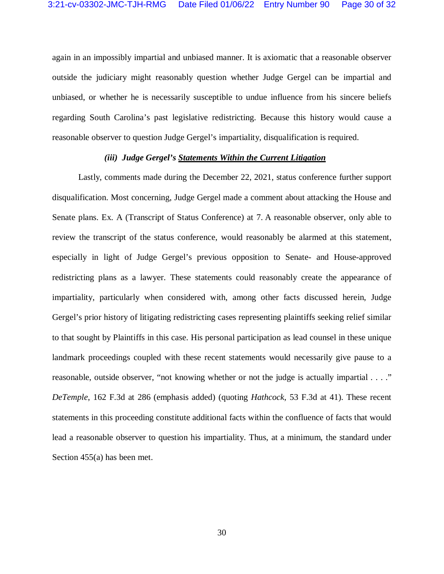again in an impossibly impartial and unbiased manner. It is axiomatic that a reasonable observer outside the judiciary might reasonably question whether Judge Gergel can be impartial and unbiased, or whether he is necessarily susceptible to undue influence from his sincere beliefs regarding South Carolina's past legislative redistricting. Because this history would cause a reasonable observer to question Judge Gergel's impartiality, disqualification is required.

### *(iii) Judge Gergel's Statements Within the Current Litigation*

Lastly, comments made during the December 22, 2021, status conference further support disqualification. Most concerning, Judge Gergel made a comment about attacking the House and Senate plans. Ex. A (Transcript of Status Conference) at 7. A reasonable observer, only able to review the transcript of the status conference, would reasonably be alarmed at this statement, especially in light of Judge Gergel's previous opposition to Senate- and House-approved redistricting plans as a lawyer. These statements could reasonably create the appearance of impartiality, particularly when considered with, among other facts discussed herein, Judge Gergel's prior history of litigating redistricting cases representing plaintiffs seeking relief similar to that sought by Plaintiffs in this case. His personal participation as lead counsel in these unique landmark proceedings coupled with these recent statements would necessarily give pause to a reasonable, outside observer, "not knowing whether or not the judge is actually impartial . . . ." *DeTemple*, 162 F.3d at 286 (emphasis added) (quoting *Hathcock*, 53 F.3d at 41). These recent statements in this proceeding constitute additional facts within the confluence of facts that would lead a reasonable observer to question his impartiality. Thus, at a minimum, the standard under Section 455(a) has been met.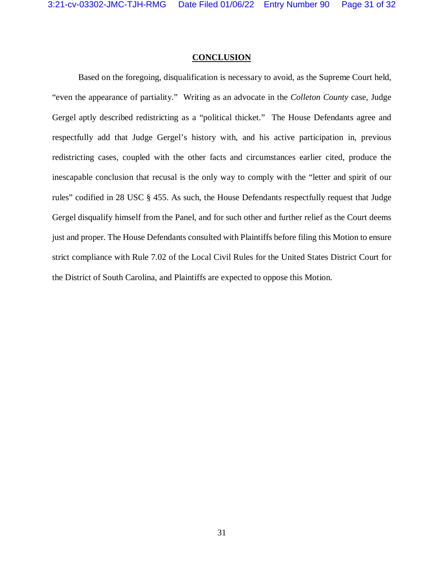### **CONCLUSION**

Based on the foregoing, disqualification is necessary to avoid, as the Supreme Court held, "even the appearance of partiality." Writing as an advocate in the *Colleton County* case, Judge Gergel aptly described redistricting as a "political thicket." The House Defendants agree and respectfully add that Judge Gergel's history with, and his active participation in, previous redistricting cases, coupled with the other facts and circumstances earlier cited, produce the inescapable conclusion that recusal is the only way to comply with the "letter and spirit of our rules" codified in 28 USC § 455. As such, the House Defendants respectfully request that Judge Gergel disqualify himself from the Panel, and for such other and further relief as the Court deems just and proper. The House Defendants consulted with Plaintiffs before filing this Motion to ensure strict compliance with Rule 7.02 of the Local Civil Rules for the United States District Court for the District of South Carolina, and Plaintiffs are expected to oppose this Motion.